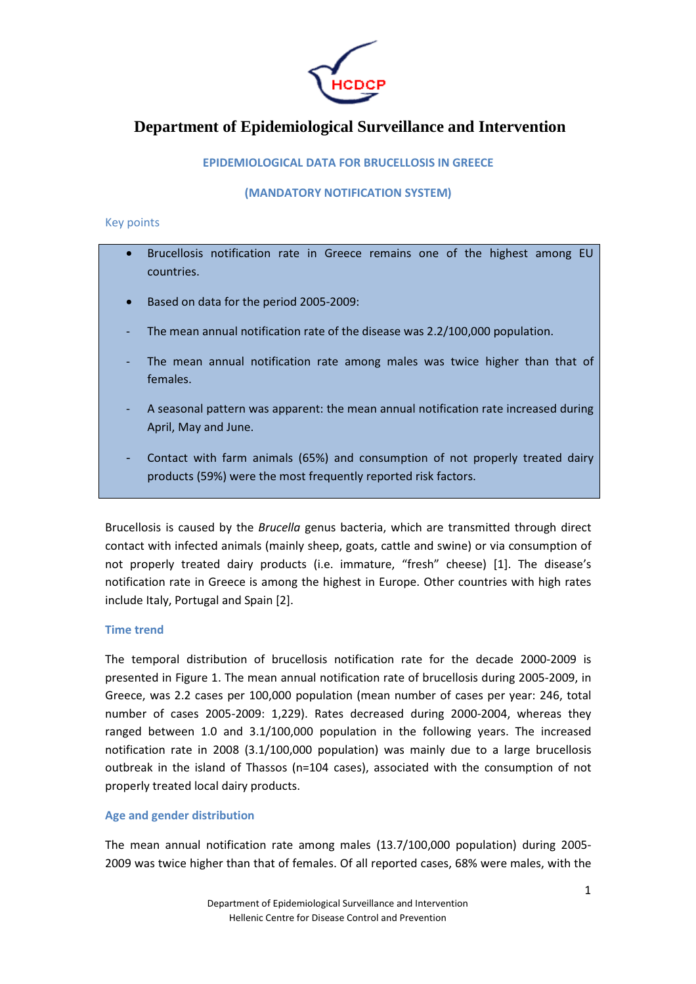

# **Department of Epidemiological Surveillance and Intervention**

# EPIDEMIOLOGICAL DATA FOR BRUCELLOSIS IN GREECE

#### (MANDATORY NOTIFICATION SYSTEM)

#### Key points

- Brucellosis notification rate in Greece remains one of the highest among EU countries.
- Based on data for the period 2005-2009:
- The mean annual notification rate of the disease was 2.2/100,000 population.
- The mean annual notification rate among males was twice higher than that of females.
- A seasonal pattern was apparent: the mean annual notification rate increased during April, May and June.
- Contact with farm animals (65%) and consumption of not properly treated dairy products (59%) were the most frequently reported risk factors.

Brucellosis is caused by the Brucella genus bacteria, which are transmitted through direct contact with infected animals (mainly sheep, goats, cattle and swine) or via consumption of not properly treated dairy products (i.e. immature, "fresh" cheese) [1]. The disease's notification rate in Greece is among the highest in Europe. Other countries with high rates include Italy, Portugal and Spain [2].

## Time trend

The temporal distribution of brucellosis notification rate for the decade 2000-2009 is presented in Figure 1. The mean annual notification rate of brucellosis during 2005-2009, in Greece, was 2.2 cases per 100,000 population (mean number of cases per year: 246, total number of cases 2005-2009: 1,229). Rates decreased during 2000-2004, whereas they ranged between 1.0 and 3.1/100,000 population in the following years. The increased notification rate in 2008 (3.1/100,000 population) was mainly due to a large brucellosis outbreak in the island of Thassos (n=104 cases), associated with the consumption of not properly treated local dairy products.

## Age and gender distribution

The mean annual notification rate among males (13.7/100,000 population) during 2005- 2009 was twice higher than that of females. Of all reported cases, 68% were males, with the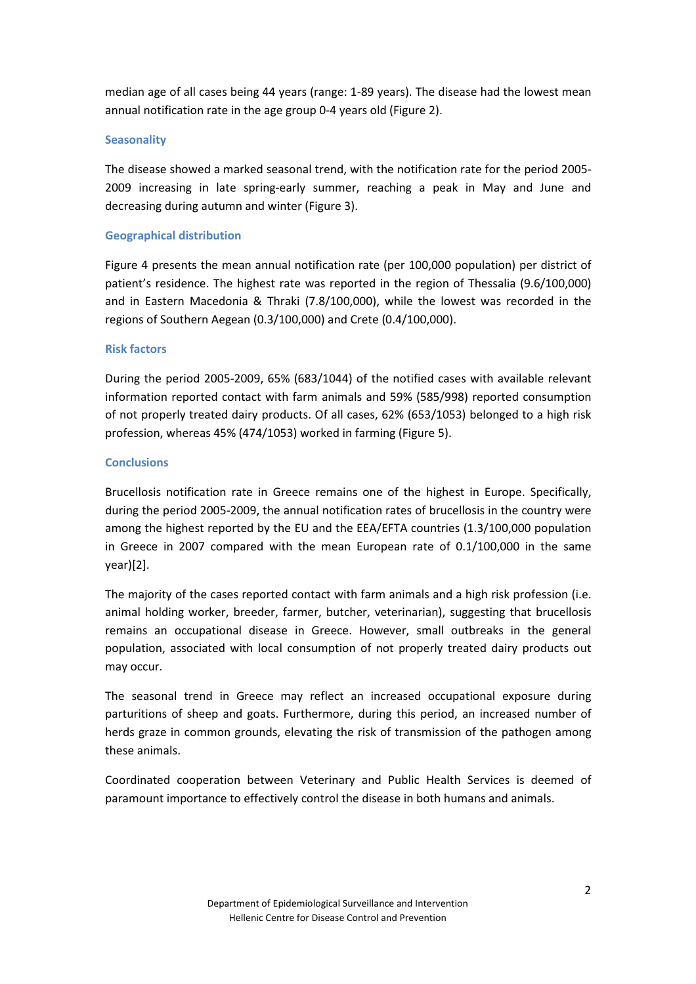median age of all cases being 44 years (range: 1-89 years). The disease had the lowest mean annual notification rate in the age group 0-4 years old (Figure 2).

## **Seasonality**

The disease showed a marked seasonal trend, with the notification rate for the period 2005- 2009 increasing in late spring-early summer, reaching a peak in May and June and decreasing during autumn and winter (Figure 3).

# Geographical distribution

Figure 4 presents the mean annual notification rate (per 100,000 population) per district of patient's residence. The highest rate was reported in the region of Thessalia (9.6/100,000) and in Eastern Macedonia & Thraki (7.8/100,000), while the lowest was recorded in the regions of Southern Aegean (0.3/100,000) and Crete (0.4/100,000).

# Risk factors

During the period 2005-2009, 65% (683/1044) of the notified cases with available relevant information reported contact with farm animals and 59% (585/998) reported consumption of not properly treated dairy products. Of all cases, 62% (653/1053) belonged to a high risk profession, whereas 45% (474/1053) worked in farming (Figure 5).

# **Conclusions**

Brucellosis notification rate in Greece remains one of the highest in Europe. Specifically, during the period 2005-2009, the annual notification rates of brucellosis in the country were among the highest reported by the EU and the EEA/EFTA countries (1.3/100,000 population in Greece in 2007 compared with the mean European rate of 0.1/100,000 in the same year)[2].

The majority of the cases reported contact with farm animals and a high risk profession (i.e. animal holding worker, breeder, farmer, butcher, veterinarian), suggesting that brucellosis remains an occupational disease in Greece. However, small outbreaks in the general population, associated with local consumption of not properly treated dairy products out may occur.

The seasonal trend in Greece may reflect an increased occupational exposure during parturitions of sheep and goats. Furthermore, during this period, an increased number of herds graze in common grounds, elevating the risk of transmission of the pathogen among these animals.

Coordinated cooperation between Veterinary and Public Health Services is deemed of paramount importance to effectively control the disease in both humans and animals.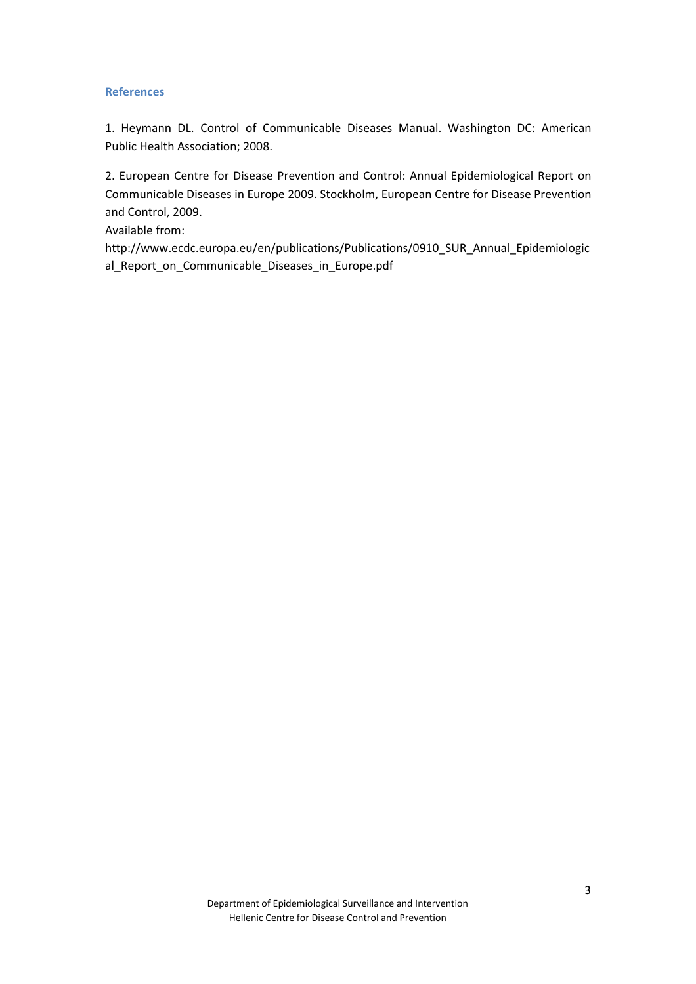#### **References**

1. Heymann DL. Control of Communicable Diseases Manual. Washington DC: American Public Health Association; 2008.

2. European Centre for Disease Prevention and Control: Annual Epidemiological Report on Communicable Diseases in Europe 2009. Stockholm, European Centre for Disease Prevention and Control, 2009.

Available from:

http://www.ecdc.europa.eu/en/publications/Publications/0910\_SUR\_Annual\_Epidemiologic al\_Report\_on\_Communicable\_Diseases\_in\_Europe.pdf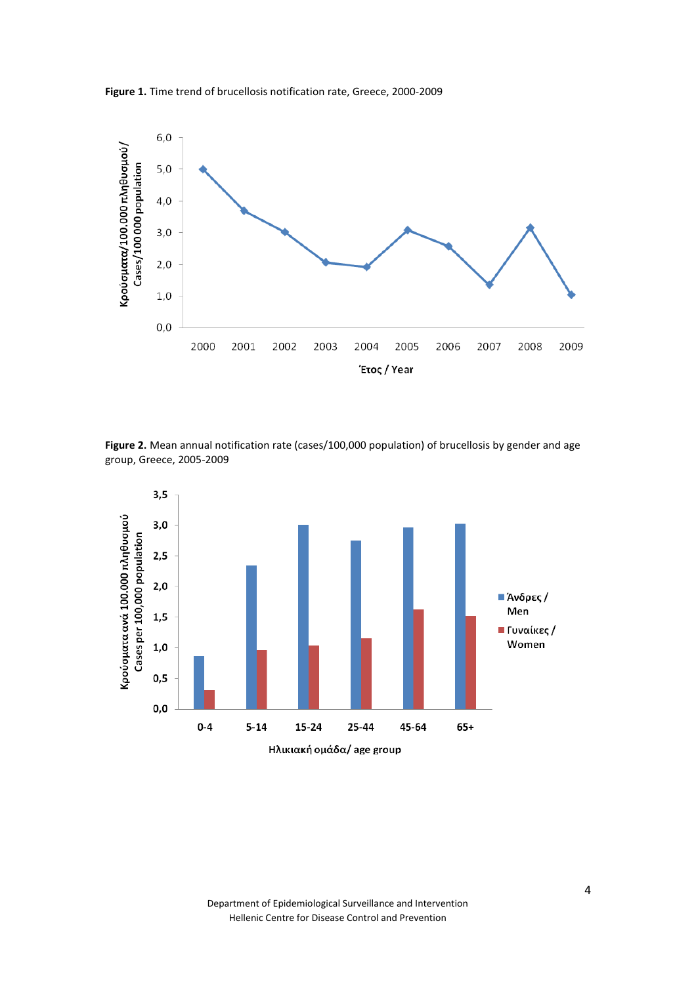



Figure 2. Mean annual notification rate (cases/100,000 population) of brucellosis by gender and age group, Greece, 2005-2009

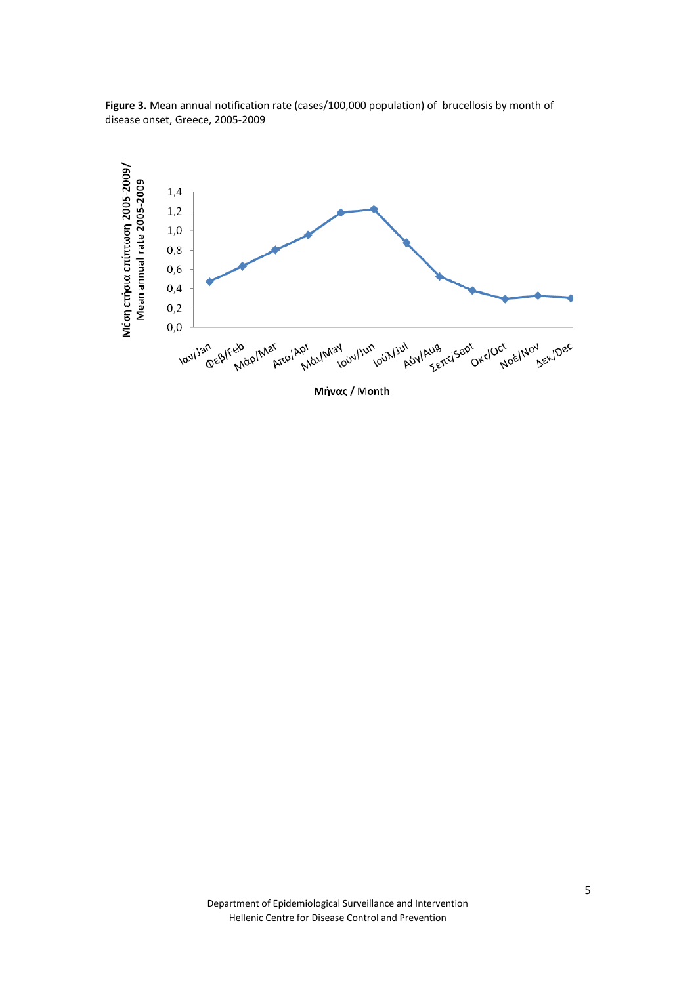

Figure 3. Mean annual notification rate (cases/100,000 population) of brucellosis by month of disease onset, Greece, 2005-2009

Μήνας / Month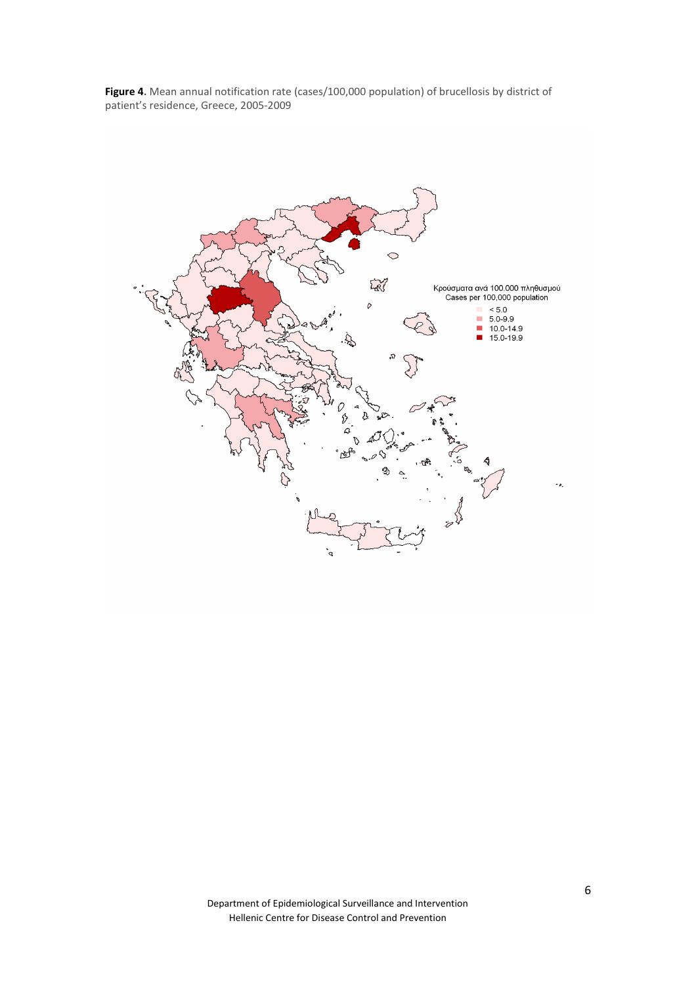Figure 4. Mean annual notification rate (cases/100,000 population) of brucellosis by district of patient's residence, Greece, 2005-2009